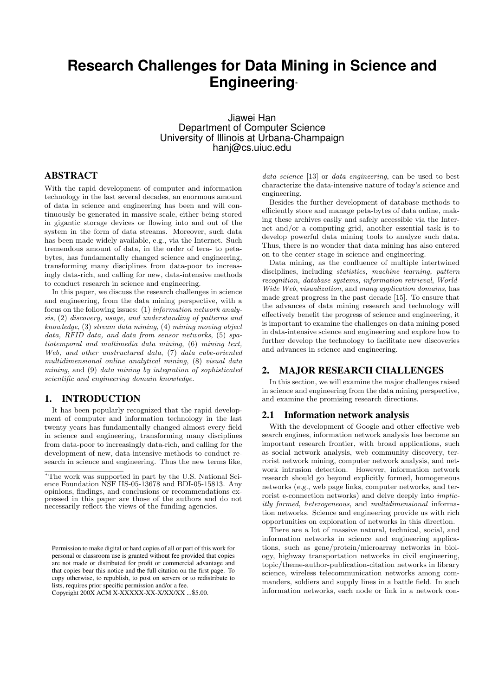# **Research Challenges for Data Mining in Science and Engineering**<sup>∗</sup>

Jiawei Han Department of Computer Science University of Illinois at Urbana-Champaign hanj@cs.uiuc.edu

## ABSTRACT

With the rapid development of computer and information technology in the last several decades, an enormous amount of data in science and engineering has been and will continuously be generated in massive scale, either being stored in gigantic storage devices or flowing into and out of the system in the form of data streams. Moreover, such data has been made widely available, e.g., via the Internet. Such tremendous amount of data, in the order of tera- to petabytes, has fundamentally changed science and engineering, transforming many disciplines from data-poor to increasingly data-rich, and calling for new, data-intensive methods to conduct research in science and engineering.

In this paper, we discuss the research challenges in science and engineering, from the data mining perspective, with a focus on the following issues: (1) information network analysis, (2) discovery, usage, and understanding of patterns and knowledge, (3) stream data mining, (4) mining moving object data, RFID data, and data from sensor networks, (5) spatiotemporal and multimedia data mining, (6) mining text, Web, and other unstructured data, (7) data cube-oriented multidimensional online analytical mining, (8) visual data mining, and (9) data mining by integration of sophisticated scientific and engineering domain knowledge.

#### 1. INTRODUCTION

It has been popularly recognized that the rapid development of computer and information technology in the last twenty years has fundamentally changed almost every field in science and engineering, transforming many disciplines from data-poor to increasingly data-rich, and calling for the development of new, data-intensive methods to conduct research in science and engineering. Thus the new terms like, data science [13] or data engineering, can be used to best characterize the data-intensive nature of today's science and engineering.

Besides the further development of database methods to efficiently store and manage peta-bytes of data online, making these archives easily and safely accessible via the Internet and/or a computing grid, another essential task is to develop powerful data mining tools to analyze such data. Thus, there is no wonder that data mining has also entered on to the center stage in science and engineering.

Data mining, as the confluence of multiple intertwined disciplines, including statistics, machine learning, pattern recognition, database systems, information retrieval, World-Wide Web, visualization, and many application domains, has made great progress in the past decade [15]. To ensure that the advances of data mining research and technology will effectively benefit the progress of science and engineering, it is important to examine the challenges on data mining posed in data-intensive science and engineering and explore how to further develop the technology to facilitate new discoveries and advances in science and engineering.

#### 2. MAJOR RESEARCH CHALLENGES

In this section, we will examine the major challenges raised in science and engineering from the data mining perspective, and examine the promising research directions.

### 2.1 Information network analysis

With the development of Google and other effective web search engines, information network analysis has become an important research frontier, with broad applications, such as social network analysis, web community discovery, terrorist network mining, computer network analysis, and network intrusion detection. However, information network research should go beyond explicitly formed, homogeneous networks (e.g., web page links, computer networks, and terrorist e-connection networks) and delve deeply into implicitly formed, heterogeneous, and multidimensional information networks. Science and engineering provide us with rich opportunities on exploration of networks in this direction.

There are a lot of massive natural, technical, social, and information networks in science and engineering applications, such as gene/protein/microarray networks in biology, highway transportation networks in civil engineering, topic/theme-author-publication-citation networks in library science, wireless telecommunication networks among commanders, soldiers and supply lines in a battle field. In such information networks, each node or link in a network con-

<sup>∗</sup>The work was supported in part by the U.S. National Science Foundation NSF IIS-05-13678 and BDI-05-15813. Any opinions, findings, and conclusions or recommendations expressed in this paper are those of the authors and do not necessarily reflect the views of the funding agencies.

Permission to make digital or hard copies of all or part of this work for personal or classroom use is granted without fee provided that copies are not made or distributed for profit or commercial advantage and that copies bear this notice and the full citation on the first page. To copy otherwise, to republish, to post on servers or to redistribute to lists, requires prior specific permission and/or a fee.

Copyright 200X ACM X-XXXXX-XX-X/XX/XX ...\$5.00.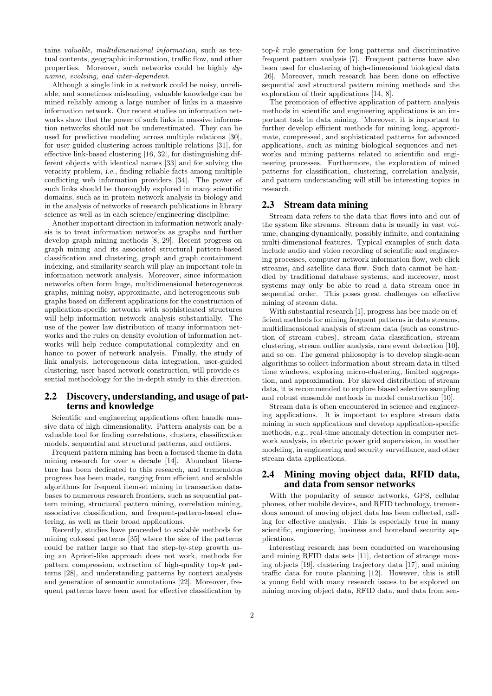tains valuable, multidimensional information, such as textual contents, geographic information, traffic flow, and other properties. Moreover, such networks could be highly dynamic, evolving, and inter-dependent.

Although a single link in a network could be noisy, unreliable, and sometimes misleading, valuable knowledge can be mined reliably among a large number of links in a massive information network. Our recent studies on information networks show that the power of such links in massive information networks should not be underestimated. They can be used for predictive modeling across multiple relations [30], for user-guided clustering across multiple relations [31], for effective link-based clustering [16, 32], for distinguishing different objects with identical names [33] and for solving the veracity problem, i.e., finding reliable facts among multiple conflicting web information providers [34]. The power of such links should be thoroughly explored in many scientific domains, such as in protein network analysis in biology and in the analysis of networks of research publications in library science as well as in each science/engineering discipline.

Another important direction in information network analysis is to treat information networks as graphs and further develop graph mining methods [8, 29]. Recent progress on graph mining and its associated structural pattern-based classification and clustering, graph and graph containment indexing, and similarity search will play an important role in information network analysis. Moreover, since information networks often form huge, multidimensional heterogeneous graphs, mining noisy, approximate, and heterogeneous subgraphs based on different applications for the construction of application-specific networks with sophisticated structures will help information network analysis substantially. The use of the power law distribution of many information networks and the rules on density evolution of information networks will help reduce computational complexity and enhance to power of network analysis. Finally, the study of link analysis, heterogeneous data integration, user-guided clustering, user-based network construction, will provide essential methodology for the in-depth study in this direction.

#### 2.2 Discovery, understanding, and usage of patterns and knowledge

Scientific and engineering applications often handle massive data of high dimensionality. Pattern analysis can be a valuable tool for finding correlations, clusters, classification models, sequential and structural patterns, and outliers.

Frequent pattern mining has been a focused theme in data mining research for over a decade [14]. Abundant literature has been dedicated to this research, and tremendous progress has been made, ranging from efficient and scalable algorithms for frequent itemset mining in transaction databases to numerous research frontiers, such as sequential pattern mining, structural pattern mining, correlation mining, associative classification, and frequent-pattern-based clustering, as well as their broad applications.

Recently, studies have proceeded to scalable methods for mining colossal patterns [35] where the size of the patterns could be rather large so that the step-by-step growth using an Apriori-like approach does not work, methods for pattern compression, extraction of high-quality top-k patterns [28], and understanding patterns by context analysis and generation of semantic annotations [22]. Moreover, frequent patterns have been used for effective classification by

top- $k$  rule generation for long patterns and discriminative frequent pattern analysis [7]. Frequent patterns have also been used for clustering of high-dimensional biological data [26]. Moreover, much research has been done on effective sequential and structural pattern mining methods and the exploration of their applications [14, 8].

The promotion of effective application of pattern analysis methods in scientific and engineering applications is an important task in data mining. Moreover, it is important to further develop efficient methods for mining long, approximate, compressed, and sophisticated patterns for advanced applications, such as mining biological sequences and networks and mining patterns related to scientific and engineering processes. Furthermore, the exploration of mined patterns for classification, clustering, correlation analysis, and pattern understanding will still be interesting topics in research.

#### 2.3 Stream data mining

Stream data refers to the data that flows into and out of the system like streams. Stream data is usually in vast volume, changing dynamically, possibly infinite, and containing multi-dimensional features. Typical examples of such data include audio and video recording of scientific and engineering processes, computer network information flow, web click streams, and satellite data flow. Such data cannot be handled by traditional database systems, and moreover, most systems may only be able to read a data stream once in sequential order. This poses great challenges on effective mining of stream data.

With substantial research [1], progress has bee made on efficient methods for mining frequent patterns in data streams, multidimensional analysis of stream data (such as construction of stream cubes), stream data classification, stream clustering, stream outlier analysis, rare event detection [10], and so on. The general philosophy is to develop single-scan algorithms to collect information about stream data in tilted time windows, exploring micro-clustering, limited aggregation, and approximation. For skewed distribution of stream data, it is recommended to explore biased selective sampling and robust emsemble methods in model construction [10].

Stream data is often encountered in science and engineering applications. It is important to explore stream data mining in such applications and develop application-specific methods, e.g., real-time anomaly detection in computer network analysis, in electric power grid supervision, in weather modeling, in engineering and security surveillance, and other stream data applications.

#### 2.4 Mining moving object data, RFID data, and data from sensor networks

With the popularity of sensor networks, GPS, cellular phones, other mobile devices, and RFID technology, tremendous amount of moving object data has been collected, calling for effective analysis. This is especially true in many scientific, engineering, business and homeland security applications.

Interesting research has been conducted on warehousing and mining RFID data sets [11], detection of strange moving objects [19], clustering trajectory data [17], and mining traffic data for route planning [12]. However, this is still a young field with many research issues to be explored on mining moving object data, RFID data, and data from sen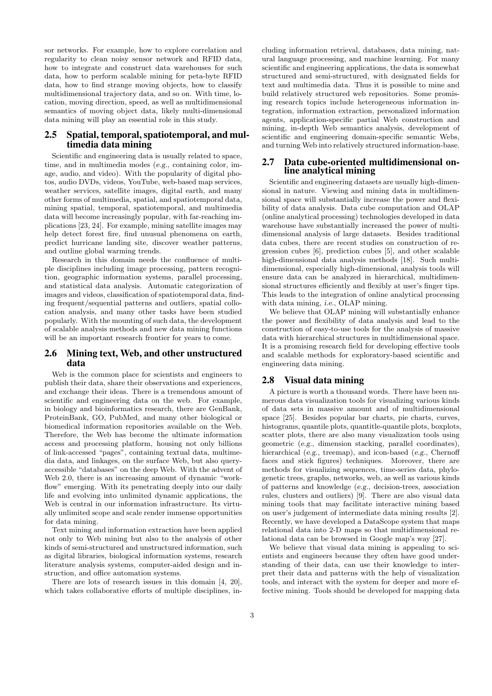sor networks. For example, how to explore correlation and regularity to clean noisy sensor network and RFID data, how to integrate and construct data warehouses for such data, how to perform scalable mining for peta-byte RFID data, how to find strange moving objects, how to classify multidimensional trajectory data, and so on. With time, location, moving direction, speed, as well as multidimensional semantics of moving object data, likely multi-dimensional data mining will play an essential role in this study.

### 2.5 Spatial, temporal, spatiotemporal, and multimedia data mining

Scientific and engineering data is usually related to space, time, and in multimedia modes (e.g., containing color, image, audio, and video). With the popularity of digital photos, audio DVDs, videos, YouTube, web-based map services, weather services, satellite images, digital earth, and many other forms of multimedia, spatial, and spatiotemporal data, mining spatial, temporal, spatiotemporal, and multimedia data will become increasingly popular, with far-reaching implications [23, 24]. For example, mining satellite images may help detect forest fire, find unusual phenomena on earth, predict hurricane landing site, discover weather patterns, and outline global warming trends.

Research in this domain needs the confluence of multiple disciplines including image processing, pattern recognition, geographic information systems, parallel processing, and statistical data analysis. Automatic categorization of images and videos, classification of spatiotemporal data, finding frequent/sequential patterns and outliers, spatial collocation analysis, and many other tasks have been studied popularly. With the mounting of such data, the development of scalable analysis methods and new data mining functions will be an important research frontier for years to come.

#### 2.6 Mining text, Web, and other unstructured data

Web is the common place for scientists and engineers to publish their data, share their observations and experiences, and exchange their ideas. There is a tremendous amount of scientific and engineering data on the web. For example, in biology and bioinformatics research, there are GenBank, ProteinBank, GO, PubMed, and many other biological or biomedical information repositories available on the Web. Therefore, the Web has become the ultimate information access and processing platform, housing not only billions of link-accessed "pages", containing textual data, multimedia data, and linkages, on the surface Web, but also queryaccessible "databases" on the deep Web. With the advent of Web 2.0, there is an increasing amount of dynamic "workflow" emerging. With its penetrating deeply into our daily life and evolving into unlimited dynamic applications, the Web is central in our information infrastructure. Its virtually unlimited scope and scale render immense opportunities for data mining.

Text mining and information extraction have been applied not only to Web mining but also to the analysis of other kinds of semi-structured and unstructured information, such as digital libraries, biological information systems, research literature analysis systems, computer-aided design and instruction, and office automation systems.

There are lots of research issues in this domain [4, 20], which takes collaborative efforts of multiple disciplines, in-

cluding information retrieval, databases, data mining, natural language processing, and machine learning. For many scientific and engineering applications, the data is somewhat structured and semi-structured, with designated fields for text and multimedia data. Thus it is possible to mine and build relatively structured web repositories. Some promising research topics include heterogeneous information integration, information extraction, personalized information agents, application-specific partial Web construction and mining, in-depth Web semantics analysis, development of scientific and engineering domain-specific semantic Webs, and turning Web into relatively structured information-base.

#### 2.7 Data cube-oriented multidimensional online analytical mining

Scientific and engineering datasets are usually high-dimensional in nature. Viewing and mining data in multidimensional space will substantially increase the power and flexibility of data analysis. Data cube computation and OLAP (online analytical processing) technologies developed in data warehouse have substantially increased the power of multidimensional analysis of large datasets. Besides traditional data cubes, there are recent studies on construction of regression cubes [6], prediction cubes [5], and other scalable high-dimensional data analysis methods [18]. Such multidimensional, especially high-dimensional, analysis tools will ensure data can be analyzed in hierarchical, multidimensional structures efficiently and flexibly at user's finger tips. This leads to the integration of online analytical processing with data mining, i.e., OLAP mining.

We believe that OLAP mining will substantially enhance the power and flexibility of data analysis and lead to the construction of easy-to-use tools for the analysis of massive data with hierarchical structures in multidimensional space. It is a promising research field for developing effective tools and scalable methods for exploratory-based scientific and engineering data mining.

#### 2.8 Visual data mining

A picture is worth a thousand words. There have been numerous data visualization tools for visualizing various kinds of data sets in massive amount and of multidimensional space [25]. Besides popular bar charts, pie charts, curves, histograms, quantile plots, quantitle-quantile plots, boxplots, scatter plots, there are also many visualization tools using geometric (e.g., dimension stacking, parallel coordinates), hierarchical (e.g., treemap), and icon-based (e.g., Chernoff faces and stick figures) techniques. Moreover, there are methods for visualizing sequences, time-series data, phylogenetic trees, graphs, networks, web, as well as various kinds of patterns and knowledge (e.g., decision-trees, association rules, clusters and outliers) [9]. There are also visual data mining tools that may facilitate interactive mining based on user's judgement of intermediate data mining results [2]. Recently, we have developed a DataScope system that maps relational data into 2-D maps so that multidimensional relational data can be browsed in Google map's way [27].

We believe that visual data mining is appealing to scientists and engineers because they often have good understanding of their data, can use their knowledge to interpret their data and patterns with the help of visualization tools, and interact with the system for deeper and more effective mining. Tools should be developed for mapping data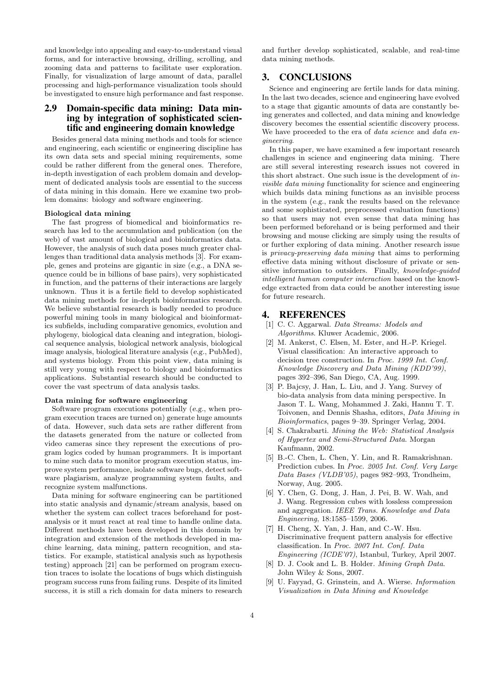and knowledge into appealing and easy-to-understand visual forms, and for interactive browsing, drilling, scrolling, and zooming data and patterns to facilitate user exploration. Finally, for visualization of large amount of data, parallel processing and high-performance visualization tools should be investigated to ensure high performance and fast response.

### 2.9 Domain-specific data mining: Data mining by integration of sophisticated scientific and engineering domain knowledge

Besides general data mining methods and tools for science and engineering, each scientific or engineering discipline has its own data sets and special mining requirements, some could be rather different from the general ones. Therefore, in-depth investigation of each problem domain and development of dedicated analysis tools are essential to the success of data mining in this domain. Here we examine two problem domains: biology and software engineering.

#### Biological data mining

The fast progress of biomedical and bioinformatics research has led to the accumulation and publication (on the web) of vast amount of biological and bioinformatics data. However, the analysis of such data poses much greater challenges than traditional data analysis methods [3]. For example, genes and proteins are gigantic in size (e.g., a DNA sequence could be in billions of base pairs), very sophisticated in function, and the patterns of their interactions are largely unknown. Thus it is a fertile field to develop sophisticated data mining methods for in-depth bioinformatics research. We believe substantial research is badly needed to produce powerful mining tools in many biological and bioinformatics subfields, including comparative genomics, evolution and phylogeny, biological data cleaning and integration, biological sequence analysis, biological network analysis, biological image analysis, biological literature analysis (e.g., PubMed), and systems biology. From this point view, data mining is still very young with respect to biology and bioinformatics applications. Substantial research should be conducted to cover the vast spectrum of data analysis tasks.

#### Data mining for software engineering

Software program executions potentially (e.g., when program execution traces are turned on) generate huge amounts of data. However, such data sets are rather different from the datasets generated from the nature or collected from video cameras since they represent the executions of program logics coded by human programmers. It is important to mine such data to monitor program execution status, improve system performance, isolate software bugs, detect software plagiarism, analyze programming system faults, and recognize system malfunctions.

Data mining for software engineering can be partitioned into static analysis and dynamic/stream analysis, based on whether the system can collect traces beforehand for postanalysis or it must react at real time to handle online data. Different methods have been developed in this domain by integration and extension of the methods developed in machine learning, data mining, pattern recognition, and statistics. For example, statistical analysis such as hypothesis testing) approach [21] can be performed on program execution traces to isolate the locations of bugs which distinguish program success runs from failing runs. Despite of its limited success, it is still a rich domain for data miners to research

and further develop sophisticated, scalable, and real-time data mining methods.

#### 3. CONCLUSIONS

Science and engineering are fertile lands for data mining. In the last two decades, science and engineering have evolved to a stage that gigantic amounts of data are constantly being generates and collected, and data mining and knowledge discovery becomes the essential scientific discovery process. We have proceeded to the era of data science and data engineering.

In this paper, we have examined a few important research challenges in science and engineering data mining. There are still several interesting research issues not covered in this short abstract. One such issue is the development of invisible data mining functionality for science and engineering which builds data mining functions as an invisible process in the system (e.g., rank the results based on the relevance and some sophisticated, preprocessed evaluation functions) so that users may not even sense that data mining has been performed beforehand or is being performed and their browsing and mouse clicking are simply using the results of or further exploring of data mining. Another research issue is privacy-preserving data mining that aims to performing effective data mining without disclosure of private or sensitive information to outsiders. Finally, knowledge-guided intelligent human computer interaction based on the knowledge extracted from data could be another interesting issue for future research.

#### 4. REFERENCES

- [1] C. C. Aggarwal. Data Streams: Models and Algorithms. Kluwer Academic, 2006.
- [2] M. Ankerst, C. Elsen, M. Ester, and H.-P. Kriegel. Visual classification: An interactive approach to decision tree construction. In Proc. 1999 Int. Conf. Knowledge Discovery and Data Mining (KDD'99), pages 392–396, San Diego, CA, Aug. 1999.
- [3] P. Bajcsy, J. Han, L. Liu, and J. Yang. Survey of bio-data analysis from data mining perspective. In Jason T. L. Wang, Mohammed J. Zaki, Hannu T. T. Toivonen, and Dennis Shasha, editors, Data Mining in Bioinformatics, pages 9–39. Springer Verlag, 2004.
- [4] S. Chakrabarti. *Mining the Web: Statistical Analysis* of Hypertex and Semi-Structured Data. Morgan Kaufmann, 2002.
- [5] B.-C. Chen, L. Chen, Y. Lin, and R. Ramakrishnan. Prediction cubes. In Proc. 2005 Int. Conf. Very Large Data Bases (VLDB'05), pages 982–993, Trondheim, Norway, Aug. 2005.
- [6] Y. Chen, G. Dong, J. Han, J. Pei, B. W. Wah, and J. Wang. Regression cubes with lossless compression and aggregation. IEEE Trans. Knowledge and Data Engineering, 18:1585–1599, 2006.
- [7] H. Cheng, X. Yan, J. Han, and C.-W. Hsu. Discriminative frequent pattern analysis for effective classification. In Proc. 2007 Int. Conf. Data Engineering (ICDE'07), Istanbul, Turkey, April 2007.
- [8] D. J. Cook and L. B. Holder. Mining Graph Data. John Wiley & Sons, 2007.
- [9] U. Fayyad, G. Grinstein, and A. Wierse. Information Visualization in Data Mining and Knowledge